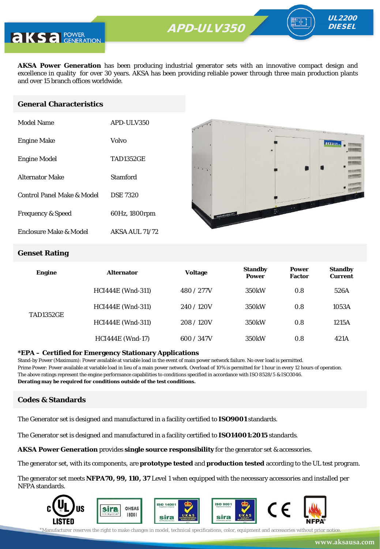

**AKSA Power Generation** has been producing industrial generator sets with an innovative compact design and excellence in quality for over 30 years. AKSA has been providing reliable power through three main production plants and over 15 branch offices worldwide.

### **General Characteristics**

| Model Name                   | APD-ULV350            |
|------------------------------|-----------------------|
| <b>Engine Make</b>           | Volvo                 |
| <b>Engine Model</b>          | <b>TAD1352GE</b>      |
| <b>Alternator Make</b>       | Stamford              |
| Control Panel Make & Model   | <b>DSE 7320</b>       |
| <b>Frequency &amp; Speed</b> | 60Hz, 1800rpm         |
| Enclosure Make & Model       | <b>AKSA AUL 71/72</b> |



UL2200 **DIESEL** 

### **Genset Rating**

| <b>Engine</b>    | <b>Alternator</b>        | Voltage    | <b>Standby</b><br><b>Power</b> | <b>Power</b><br><b>Factor</b> | <b>Standby</b><br><b>Current</b> |
|------------------|--------------------------|------------|--------------------------------|-------------------------------|----------------------------------|
| <b>TAD1352GE</b> | <b>HCI444E</b> (Wnd-311) | 480 / 277V | 350 <sub>k</sub> W             | 0.8                           | 526A                             |
|                  | <b>HCI444E</b> (Wnd-311) | 240/120V   | 350 <sub>k</sub> W             | 0.8                           | 1053A                            |
|                  | <b>HCI444E</b> (Wnd-311) | 208/120V   | 350 <sub>k</sub> W             | 0.8                           | 1215A                            |
|                  | <b>HCI444E</b> (Wnd-17)  | 600 / 347V | 350 <sub>k</sub> W             | 0.8                           | 421A                             |

#### **\*EPA – Certified for Emergency Stationary Applications**

Stand-by Power (Maximum): Power available at variable load in the event of main power network failure. No over load is permitted. Prime Power: Power available at variable load in lieu of a main power network. Overload of 10% is permitted for 1 hour in every 12 hours of operation. The above ratings represent the engine performance capabilities to conditions specified in accordance with ISO 8528/5 & ISO3046. **Derating may be required for conditions outside of the test conditions.**

#### **Codes & Standards**

The Generator set is designed and manufactured in a facility certified to **ISO9001** standards.

The Generator set is designed and manufactured in a facility certified to **ISO14001:2015** standards.

**AKSA Power Generation** provides **single source responsibility** for the generator set & accessories.

The generator set, with its components, are **prototype tested** and **production tested** according to the UL test program.

The generator set meets **NFPA70, 99, 110, 37** Level 1 when equipped with the necessary accessories and installed per NFPA standards.

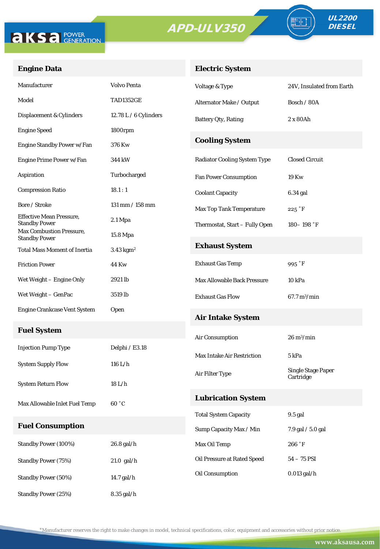

Standby Power (50%) 14.7 gal/h

Standby Power (25%) 8.35 gal/h



TE

## **Engine Data**

## **Electric System**

| Manufacturer                                            | <b>Volvo Penta</b>      | Voltage & Type                      | 24V, Insulated from Earth          |
|---------------------------------------------------------|-------------------------|-------------------------------------|------------------------------------|
| Model                                                   | <b>TAD1352GE</b>        | Alternator Make / Output            | Bosch / 80A                        |
| Displacement & Cylinders                                | 12.78 L / 6 Cylinders   | <b>Battery Qty, Rating</b>          | 2 x 80Ah                           |
| <b>Engine Speed</b>                                     | 1800rpm                 |                                     |                                    |
| Engine Standby Power w/Fan                              | 376 Kw                  | <b>Cooling System</b>               |                                    |
| Engine Prime Power w/Fan                                | 344 kW                  | <b>Radiator Cooling System Type</b> | <b>Closed Circuit</b>              |
| Aspiration                                              | Turbocharged            | <b>Fan Power Consumption</b>        | <b>19 Kw</b>                       |
| <b>Compression Ratio</b>                                | 18.1:1                  | <b>Coolant Capacity</b>             | 6.34 gal                           |
| Bore / Stroke                                           | $131$ mm $/ 158$ mm     | <b>Max Top Tank Temperature</b>     | $225$ $\degree$ F                  |
| <b>Effective Mean Pressure,</b><br><b>Standby Power</b> | $2.1 \text{ Mpa}$       | Thermostat, Start - Fully Open      | $180 - 198$ °F                     |
| Max Combustion Pressure,<br><b>Standby Power</b>        | 15.8 Mpa                |                                     |                                    |
| <b>Total Mass Moment of Inertia</b>                     | $3.43$ kgm <sup>2</sup> | <b>Exhaust System</b>               |                                    |
| <b>Friction Power</b>                                   | 44 Kw                   | <b>Exhaust Gas Temp</b>             | 995 °F                             |
| Wet Weight – Engine Only                                | 2921 lb                 | <b>Max Allowable Back Pressure</b>  | 10 <sub>kPa</sub>                  |
| Wet Weight – GenPac                                     | 3519 lb                 | <b>Exhaust Gas Flow</b>             | $67.7 \,\mathrm{m}^3/\mathrm{min}$ |
| <b>Engine Crankcase Vent System</b>                     | Open                    | <b>Air Intake System</b>            |                                    |
| <b>Fuel System</b>                                      |                         |                                     |                                    |
|                                                         |                         | Air Consumption                     | $26 \text{ m}^3/\text{min}$        |
| <b>Injection Pump Type</b>                              | Delphi / E3.18          | <b>Max Intake Air Restriction</b>   | 5 kPa                              |
| <b>System Supply Flow</b>                               | $116$ L/h               | Air Filter Type                     | <b>Single Stage Paper</b>          |
| <b>System Return Flow</b>                               | 18 L/h                  |                                     | Cartridge                          |
| Max Allowable Inlet Fuel Temp                           | 60 °C                   | <b>Lubrication System</b>           |                                    |
|                                                         |                         | <b>Total System Capacity</b>        | 9.5 gal                            |
| <b>Fuel Consumption</b>                                 |                         | Sump Capacity Max / Min             | 7.9 gal / 5.0 gal                  |
| Standby Power (100%)                                    | 26.8 gal/h              | Max Oil Temp                        | $266\ \mathrm{^{\circ}F}$          |
| <b>Standby Power (75%)</b>                              | $21.0$ gal/h            | <b>Oil Pressure at Rated Speed</b>  | $54 - 75$ PSI                      |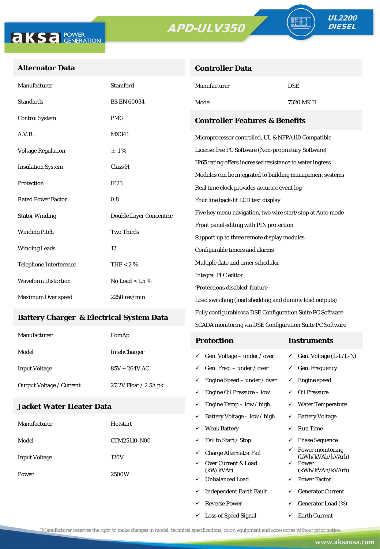**Controller Data**





### **Alternator Data**

| Manufacturer                              | <b>Stamford</b>         | Manufacturer                                               | <b>DSE</b>                 |  |  |
|-------------------------------------------|-------------------------|------------------------------------------------------------|----------------------------|--|--|
| <b>Standards</b>                          | <b>BS EN 60034</b>      | Model                                                      | 7320 MK II                 |  |  |
| <b>Control System</b>                     | <b>PMG</b>              | <b>Controller Features &amp; Benefits</b>                  |                            |  |  |
| A.V.R.                                    | <b>MX341</b>            | Microprocessor controlled, UL & NFPA110 Compatible         |                            |  |  |
| <b>Voltage Regulation</b>                 | ±1%                     | License free PC Software (Non-proprietary Software)        |                            |  |  |
| <b>Insulation System</b>                  | Class H                 | IP65 rating offers increased resistance to water ingress   |                            |  |  |
|                                           | IP23                    | Modules can be integrated to building management systems   |                            |  |  |
| Protection                                |                         | Real time clock provides accurate event log                |                            |  |  |
| <b>Rated Power Factor</b>                 | 0.8                     | Four line back-lit LCD text display                        |                            |  |  |
| <b>Stator Winding</b>                     | Double Layer Concentric | Five key menu navigation, two wire start/stop at Auto mode |                            |  |  |
| <b>Two Thirds</b><br><b>Winding Pitch</b> |                         | Front panel editing with PIN protection                    |                            |  |  |
|                                           |                         | Support up to three remote display modules                 |                            |  |  |
| <b>Winding Leads</b>                      | 12                      | Configurable timers and alarms                             |                            |  |  |
| <b>Telephone Interference</b>             | THF < 2 $%$             | Multiple date and timer scheduler                          |                            |  |  |
| <b>Waveform Distortion</b>                | No Load < $1.5\%$       |                                                            | <b>Integral PLC editor</b> |  |  |
|                                           |                         | 'Protections disabled' feature                             |                            |  |  |
| Maximum Over speed                        | $2250$ rev/min          | Load switching (load shedding and dummy load outputs)      |                            |  |  |

#### **Battery Charger & Electrical System Data**

| Manufacturer             | ComAp                 | <b>Protection</b>                        | Instruments                         |
|--------------------------|-----------------------|------------------------------------------|-------------------------------------|
| Model                    | <b>InteliCharger</b>  | $\checkmark$ Gen. Voltage – under / over | $\checkmark$ Gen. Voltage (L-L/L-N) |
| <b>Input Voltage</b>     | $85V \sim 264V$ AC    | $\checkmark$ Gen. Freq. – under / over   | $\checkmark$ Gen. Frequency         |
| Output Voltage / Current | 27.2V Float / 2.5A pk | $\checkmark$ Engine Speed – under / over | Engine speed                        |
|                          |                       | Engine Oil Pressure – low                | Oil Pressure                        |

Fully configurable via DSE Configuration Suite PC Software SCADA monitoring via DSE Configuration Suite PC Software

 $\checkmark$  Engine Temp – low / high  $\checkmark$  Water Temperature

 $\checkmark$  Loss of Speed Signal  $\checkmark$  Earth Current

### **Jacket Water Heater Data**

|                      |                            | ✓ | Battery Voltage – low / high     |              | <b>Battery Voltage</b>               |
|----------------------|----------------------------|---|----------------------------------|--------------|--------------------------------------|
| Manufacturer         | Hotstart                   | ✓ | <b>Weak Battery</b>              | ✓            | Run Time                             |
| Model                | CTM25110-N00               | ✓ | Fail to Start / Stop             | ✓            | <b>Phase Sequence</b>                |
| <b>Input Voltage</b> | 120V                       | ✓ | <b>Charge Alternator Fail</b>    | ✓            | Power monitoring<br>(kWh/kVAh/kVArh) |
|                      | $\checkmark$<br>2500W<br>✓ |   | Over Current & Load<br>(kW/kVAr) | $\checkmark$ | Power<br>(kWh/kVAh/kVArh)            |
| Power                |                            |   | <b>Unbalanced Load</b>           | $\checkmark$ | <b>Power Factor</b>                  |
|                      |                            | ✓ | <b>Independent Earth Fault</b>   | ✓            | <b>Generator Current</b>             |
|                      |                            | ✓ | Reverse Power                    | ✓            | Generator Load (%)                   |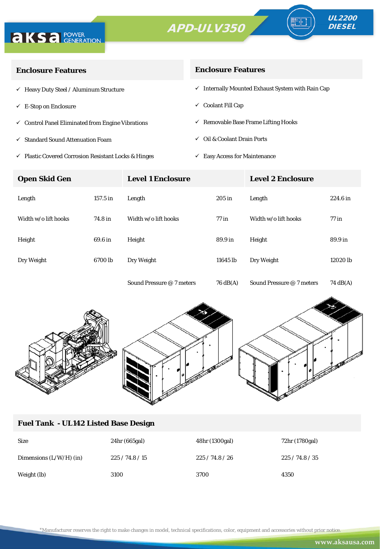



| <b>Enclosure Features</b>                                    | <b>Enclosure Features</b>                                    |
|--------------------------------------------------------------|--------------------------------------------------------------|
| $\checkmark$ Heavy Duty Steel / Aluminum Structure           | $\checkmark$ Internally Mounted Exhaust System with Rain Cap |
| $\checkmark$ E-Stop on Enclosure                             | $\checkmark$ Coolant Fill Cap                                |
| $\checkmark$ Control Panel Eliminated from Engine Vibrations | $\checkmark$ Removable Base Frame Lifting Hooks              |
| <b>Standard Sound Attenuation Foam</b><br>$\checkmark$       | $\checkmark$ Oil & Coolant Drain Ports                       |
|                                                              |                                                              |

- $\checkmark$ Plastic Covered Corrosion Resistant Locks & Hinges
- $\checkmark$  Easy Access for Maintenance

| <b>Open Skid Gen</b> |          | <b>Level 1 Enclosure</b>  |          | <b>Level 2 Enclosure</b>  |          |  |
|----------------------|----------|---------------------------|----------|---------------------------|----------|--|
| Length               | 157.5 in | Length                    | $205$ in | Length                    | 224.6 in |  |
| Width w/o lift hooks | 74.8 in  | Width w/o lift hooks      | $77$ in  | Width w/o lift hooks      | $77$ in  |  |
| Height               | 69.6 in  | Height                    | 89.9 in  | Height                    | 89.9 in  |  |
| Dry Weight           | 6700 lb  | Dry Weight                | 11645 lb | Dry Weight                | 12020 lb |  |
|                      |          | Sound Pressure @ 7 meters | 76 dB(A) | Sound Pressure @ 7 meters | 74 dB(A) |  |



## **Fuel Tank - UL142 Listed Base Design**

| <b>Size</b>               | 24hr (665gal) | 48hr (1300gal) | 72hr (1780gal) |
|---------------------------|---------------|----------------|----------------|
| Dimensions $(L/W/H)$ (in) | 225/74.8/15   | 225/74.8/26    | 225/74.8/35    |
| Weight (lb)               | 3100          | 3700           | 4350           |